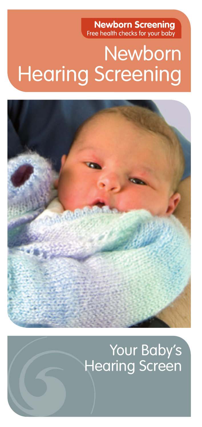**Newborn Screening**  Free health checks for your baby

# Newborn Hearing Screening



## Your Baby's Hearing Screen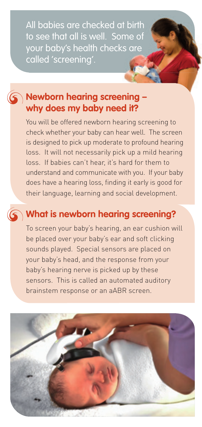All babies are checked at birth to see that all is well. Some of your baby's health checks are called 'screening'.

#### **Newborn hearing screening – why does my baby need it?**

You will be offered newborn hearing screening to check whether your baby can hear well. The screen is designed to pick up moderate to profound hearing loss. It will not necessarily pick up a mild hearing loss. If babies can't hear, it's hard for them to understand and communicate with you. If your baby does have a hearing loss, finding it early is good for their language, learning and social development.

#### **What is newborn hearing screening?**

To screen your baby's hearing, an ear cushion will be placed over your baby's ear and soft clicking sounds played. Special sensors are placed on your baby's head, and the response from your baby's hearing nerve is picked up by these sensors. This is called an automated auditory brainstem response or an aABR screen.

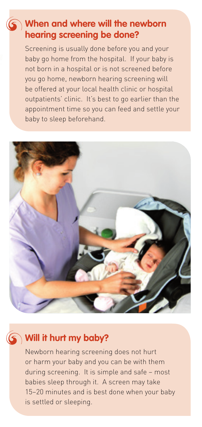#### **When and where will the newborn hearing screening be done?**

Screening is usually done before you and your baby go home from the hospital. If your baby is not born in a hospital or is not screened before you go home, newborn hearing screening will be offered at your local health clinic or hospital outpatients' clinic. It's best to go earlier than the appointment time so you can feed and settle your baby to sleep beforehand.



#### **Will it hurt my baby?**

Newborn hearing screening does not hurt or harm your baby and you can be with them during screening. It is simple and safe – most babies sleep through it. A screen may take 15–20 minutes and is best done when your baby is settled or sleeping.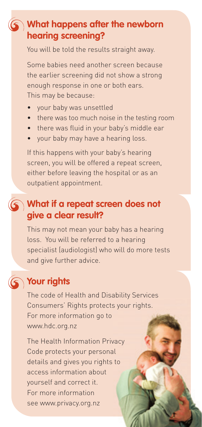#### **What happens after the newborn hearing screening?**

You will be told the results straight away.

Some babies need another screen because the earlier screening did not show a strong enough response in one or both ears. This may be because:

- your baby was unsettled
- there was too much noise in the testing room
- there was fluid in your baby's middle ear
- your baby may have a hearing loss.

If this happens with your baby's hearing screen, you will be offered a repeat screen, either before leaving the hospital or as an outpatient appointment.

#### **What if a repeat screen does not give a clear result?**

This may not mean your baby has a hearing loss. You will be referred to a hearing specialist (audiologist) who will do more tests and give further advice.

### **Your rights**

The code of Health and Disability Services Consumers' Rights protects your rights. For more information go to www.hdc.org.nz

The Health Information Privacy Code protects your personal details and gives you rights to access information about yourself and correct it. For more information see www.privacy.org.nz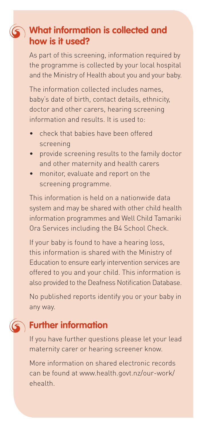#### **What information is collected and how is it used?**

As part of this screening, information required by the programme is collected by your local hospital and the Ministry of Health about you and your baby.

The information collected includes names, baby's date of birth, contact details, ethnicity, doctor and other carers, hearing screening information and results. It is used to:

- check that babies have been offered screening
- provide screening results to the family doctor and other maternity and health carers
- monitor, evaluate and report on the screening programme.

This information is held on a nationwide data system and may be shared with other child health information programmes and Well Child Tamariki Ora Services including the B4 School Check.

If your baby is found to have a hearing loss, this information is shared with the Ministry of Education to ensure early intervention services are offered to you and your child. This information is also provided to the Deafness Notification Database.

No published reports identify you or your baby in any way.

#### **Further information**

If you have further questions please let your lead maternity carer or hearing screener know.

More information on shared electronic records can be found at www.health.govt.nz/our-work/ ehealth.